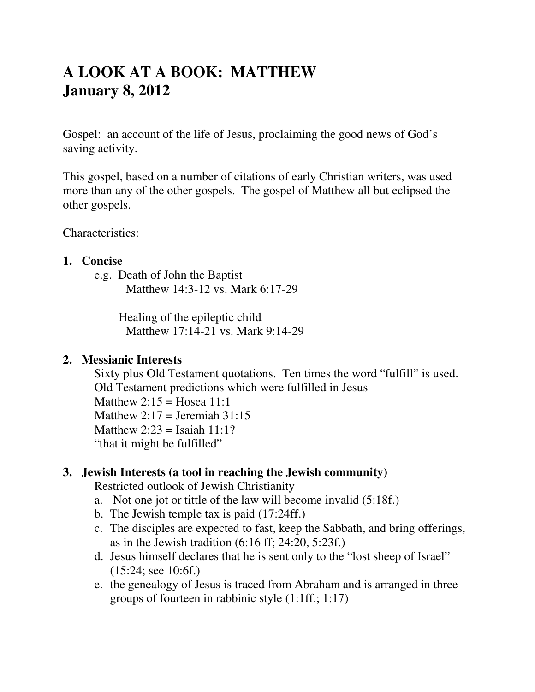# **A LOOK AT A BOOK: MATTHEW January 8, 2012**

Gospel: an account of the life of Jesus, proclaiming the good news of God's saving activity.

This gospel, based on a number of citations of early Christian writers, was used more than any of the other gospels. The gospel of Matthew all but eclipsed the other gospels.

Characteristics:

#### **1. Concise**

e.g. Death of John the Baptist Matthew 14:3-12 vs. Mark 6:17-29

> Healing of the epileptic child Matthew 17:14-21 vs. Mark 9:14-29

#### **2. Messianic Interests**

Sixty plus Old Testament quotations. Ten times the word "fulfill" is used. Old Testament predictions which were fulfilled in Jesus Matthew  $2:15 =$  Hosea  $11:1$ Matthew  $2:17 =$  Jeremiah  $31:15$ Matthew  $2:23 =$  Isaiah 11:1? "that it might be fulfilled"

#### **3. Jewish Interests (a tool in reaching the Jewish community)**

Restricted outlook of Jewish Christianity

- a. Not one jot or tittle of the law will become invalid (5:18f.)
- b. The Jewish temple tax is paid (17:24ff.)
- c. The disciples are expected to fast, keep the Sabbath, and bring offerings, as in the Jewish tradition  $(6:16 \text{ ff}; 24:20, 5:23 \text{ f.})$
- d. Jesus himself declares that he is sent only to the "lost sheep of Israel" (15:24; see 10:6f.)
- e. the genealogy of Jesus is traced from Abraham and is arranged in three groups of fourteen in rabbinic style (1:1ff.; 1:17)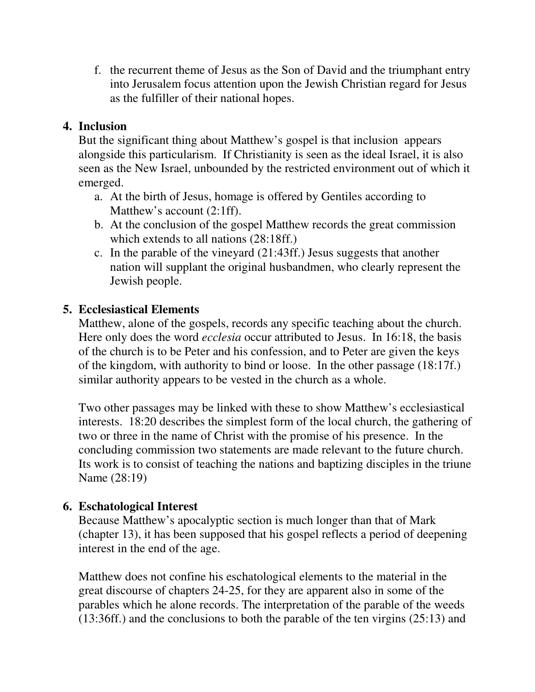f. the recurrent theme of Jesus as the Son of David and the triumphant entry into Jerusalem focus attention upon the Jewish Christian regard for Jesus as the fulfiller of their national hopes.

## **4. Inclusion**

But the significant thing about Matthew's gospel is that inclusion appears alongside this particularism. If Christianity is seen as the ideal Israel, it is also seen as the New Israel, unbounded by the restricted environment out of which it emerged.

- a. At the birth of Jesus, homage is offered by Gentiles according to Matthew's account (2:1ff).
- b. At the conclusion of the gospel Matthew records the great commission which extends to all nations (28:18ff.)
- c. In the parable of the vineyard (21:43ff.) Jesus suggests that another nation will supplant the original husbandmen, who clearly represent the Jewish people.

## **5. Ecclesiastical Elements**

Matthew, alone of the gospels, records any specific teaching about the church. Here only does the word *ecclesia* occur attributed to Jesus. In 16:18, the basis of the church is to be Peter and his confession, and to Peter are given the keys of the kingdom, with authority to bind or loose. In the other passage (18:17f.) similar authority appears to be vested in the church as a whole.

Two other passages may be linked with these to show Matthew's ecclesiastical interests. 18:20 describes the simplest form of the local church, the gathering of two or three in the name of Christ with the promise of his presence. In the concluding commission two statements are made relevant to the future church. Its work is to consist of teaching the nations and baptizing disciples in the triune Name (28:19)

#### **6. Eschatological Interest**

Because Matthew's apocalyptic section is much longer than that of Mark (chapter 13), it has been supposed that his gospel reflects a period of deepening interest in the end of the age.

Matthew does not confine his eschatological elements to the material in the great discourse of chapters 24-25, for they are apparent also in some of the parables which he alone records. The interpretation of the parable of the weeds (13:36ff.) and the conclusions to both the parable of the ten virgins (25:13) and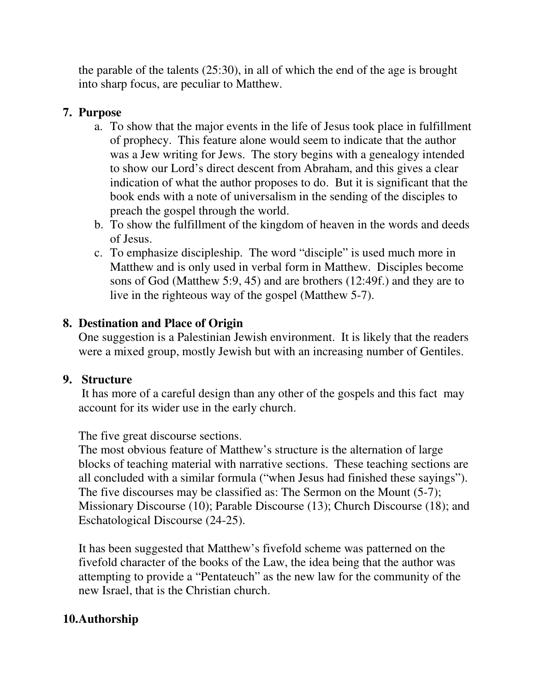the parable of the talents (25:30), in all of which the end of the age is brought into sharp focus, are peculiar to Matthew.

#### **7. Purpose**

- a. To show that the major events in the life of Jesus took place in fulfillment of prophecy. This feature alone would seem to indicate that the author was a Jew writing for Jews. The story begins with a genealogy intended to show our Lord's direct descent from Abraham, and this gives a clear indication of what the author proposes to do. But it is significant that the book ends with a note of universalism in the sending of the disciples to preach the gospel through the world.
- b. To show the fulfillment of the kingdom of heaven in the words and deeds of Jesus.
- c. To emphasize discipleship. The word "disciple" is used much more in Matthew and is only used in verbal form in Matthew. Disciples become sons of God (Matthew 5:9, 45) and are brothers (12:49f.) and they are to live in the righteous way of the gospel (Matthew 5-7).

# **8. Destination and Place of Origin**

One suggestion is a Palestinian Jewish environment. It is likely that the readers were a mixed group, mostly Jewish but with an increasing number of Gentiles.

## **9. Structure**

 It has more of a careful design than any other of the gospels and this fact may account for its wider use in the early church.

The five great discourse sections.

The most obvious feature of Matthew's structure is the alternation of large blocks of teaching material with narrative sections. These teaching sections are all concluded with a similar formula ("when Jesus had finished these sayings"). The five discourses may be classified as: The Sermon on the Mount (5-7); Missionary Discourse (10); Parable Discourse (13); Church Discourse (18); and Eschatological Discourse (24-25).

It has been suggested that Matthew's fivefold scheme was patterned on the fivefold character of the books of the Law, the idea being that the author was attempting to provide a "Pentateuch" as the new law for the community of the new Israel, that is the Christian church.

# **10.Authorship**